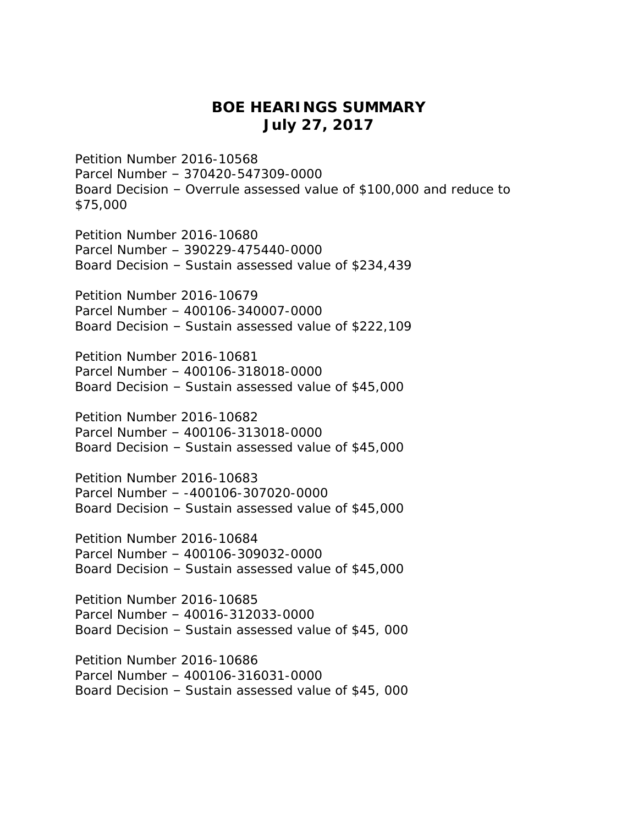## **BOE HEARINGS SUMMARY July 27, 2017**

Petition Number 2016-10568 Parcel Number – 370420-547309-0000 Board Decision – Overrule assessed value of \$100,000 and reduce to \$75,000 Petition Number 2016-10680 Parcel Number – 390229-475440-0000 Board Decision – Sustain assessed value of \$234,439 Petition Number 2016-10679 Parcel Number – 400106-340007-0000 Board Decision – Sustain assessed value of \$222,109 Petition Number 2016-10681 Parcel Number – 400106-318018-0000 Board Decision – Sustain assessed value of \$45,000 Petition Number 2016-10682 Parcel Number – 400106-313018-0000 Board Decision – Sustain assessed value of \$45,000 Petition Number 2016-10683 Parcel Number – -400106-307020-0000 Board Decision – Sustain assessed value of \$45,000 Petition Number 2016-10684 Parcel Number – 400106-309032-0000 Board Decision – Sustain assessed value of \$45,000 Petition Number 2016-10685 Parcel Number – 40016-312033-0000 Board Decision – Sustain assessed value of \$45, 000 Petition Number 2016-10686 Parcel Number – 400106-316031-0000 Board Decision – Sustain assessed value of \$45, 000